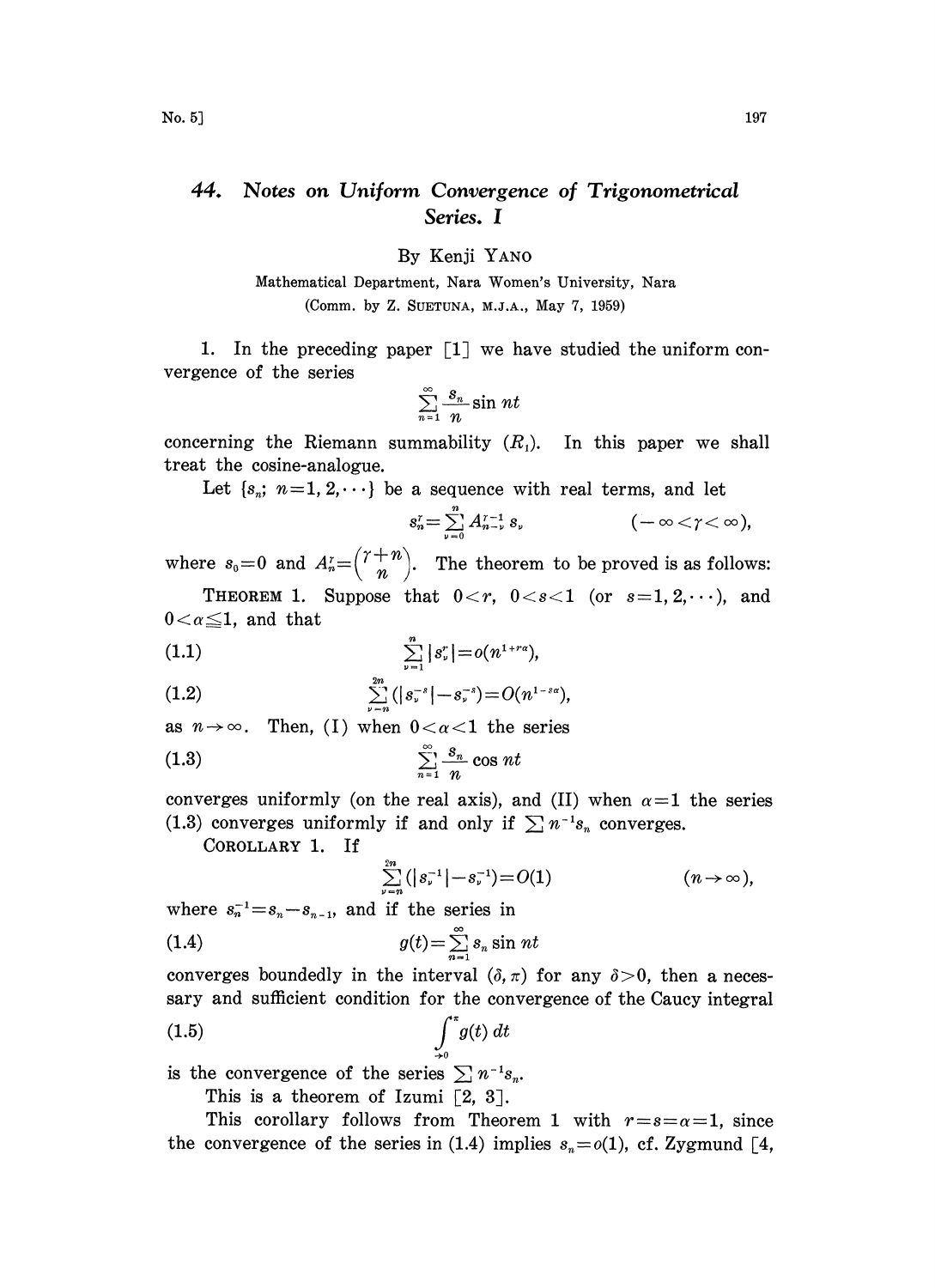## 44. Notes on Uniform Convergence of Trigonometrical Series. I

By Kenji YANO

Mathematical Department, Nara Women's University, Nara (Comm. by Z. SUETUNA, M.J.A., May 7, 1959)

1. In the preceding paper  $\lceil 1 \rceil$  we have studied the uniform convergence of the series

$$
\sum_{n=1}^{\infty} \frac{s_n}{n} \sin nt
$$

concerning the Riemann summability  $(R_1)$ . In this paper we shall treat the cosine-analogue.

Let  $\{s_n; n=1, 2, \dots\}$  be a sequence with real terms, and let

$$
s_n^r = \sum_{\nu=0}^n A_{n-\nu}^{r-1} s_\nu \qquad \qquad (-\infty < \gamma < \infty),
$$

where  $s_0=0$  and  $A_n^r = \binom{r+n}{n}$ . The theorem to be proved is as follows:

THEOREM 1. Suppose that  $0 < r$ ,  $0 < s < 1$  (or  $s = 1, 2, \dots$ ), and  $0 < \alpha \leq 1$ , and that

(1.1) 
$$
\sum_{\nu=1}^n |s_{\nu}^r| = o(n^{1+r\alpha}),
$$

(1.2) 
$$
\sum_{\nu=n}^{2n} (|s_{\nu}^{-s}| - s_{\nu}^{-s}) = O(n^{1-s\alpha}),
$$

as  $n \rightarrow \infty$ . Then, (I) when  $0 < \alpha < 1$  the series

$$
\sum_{n=1}^{\infty} \frac{s_n}{n} \cos nt
$$

converges uniformly (on the real axis), and (II) when  $\alpha=1$  the series (1.3) converges uniformly if and only if  $\sum n^{-1}s_n$  converges.

COROLLARY 1. If

$$
\sum_{\nu=n}^{2n} (|s_{\nu}^{-1}| - s_{\nu}^{-1}) = O(1) \qquad (n \to \infty),
$$

where  $s_n^{-1} = s_n - s_{n-1}$ , and if the series in

$$
(1.4) \t\t g(t) = \sum_{n=1}^{\infty} s_n \sin nt
$$

converges boundedly in the interval  $(\delta, \pi)$  for any  $\delta > 0$ , then a necessary and sufficient condition for the convergence of the Caucy integral

$$
\int_{\to 0}^{x} g(t) \, dt
$$

is the convergence of the series  $\sum n^{-1}s_n$ .

This is a theorem of Izumi  $\lceil 2, 3 \rceil$ .

This corollary follows from Theorem 1 with  $r=s=\alpha=1$ , since the convergence of the series in (1.4) implies  $s_n = o(1)$ , cf. Zygmund [4,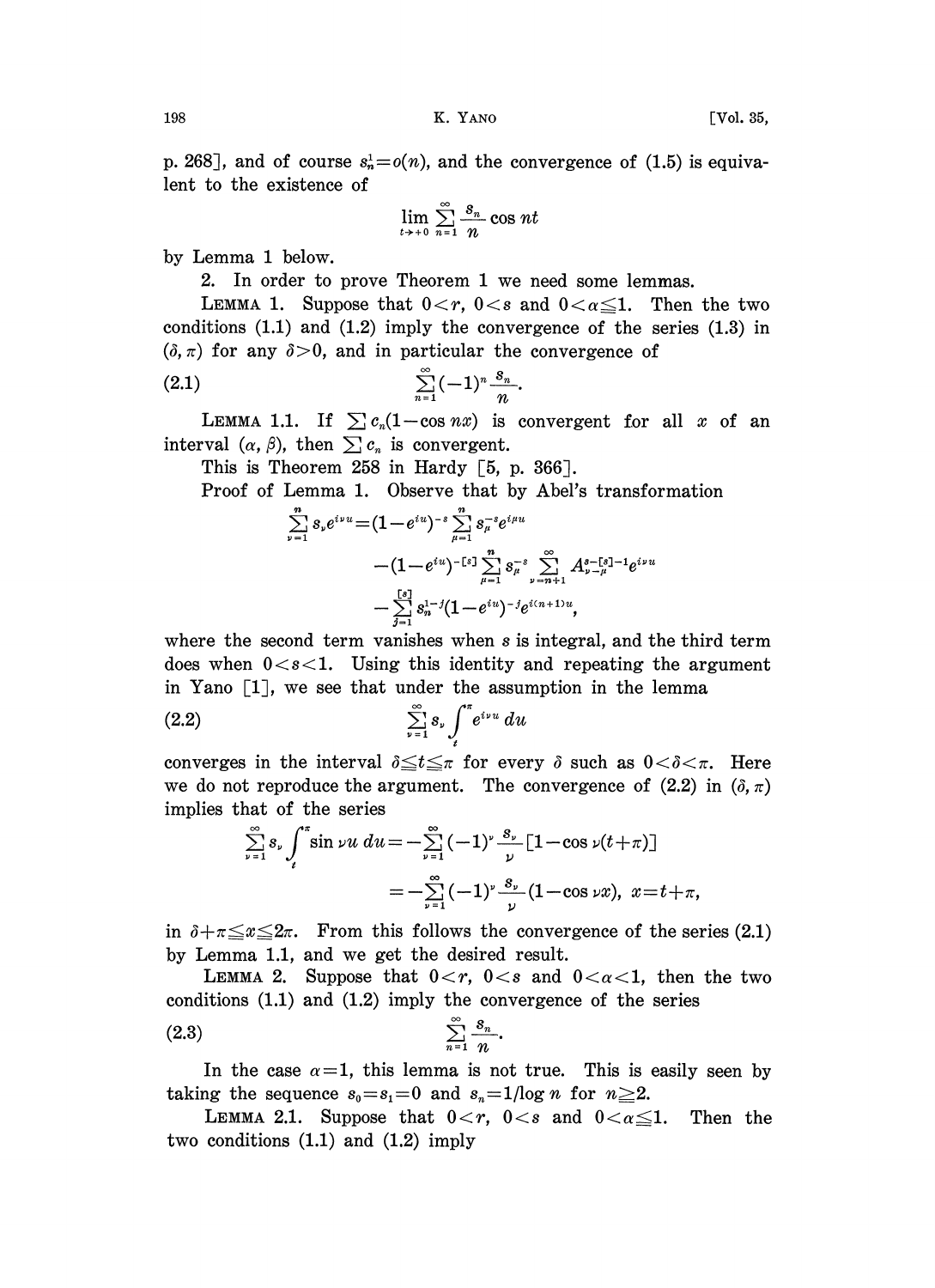p. 268], and of course  $s_n^1 = o(n)$ , and the convergence of (1.5) is equivalent to the existence of

$$
\lim_{t\to+0}\sum_{n=1}^{\infty}\frac{s_n}{n}\cos nt
$$

by Lemma <sup>1</sup> below.

2. In order to prove Theorem 1 we need some lemmas.

LEMMA 1. Suppose that  $0 < r$ ,  $0 < s$  and  $0 < \alpha \leq 1$ . Then the two conditions  $(1.1)$  and  $(1.2)$  imply the convergence of the series  $(1.3)$  in  $(\delta, \pi)$  for any  $\delta > 0$ , and in particular the convergence of

$$
(2.1) \qquad \sum_{n=1}^{\infty} (-1)^n \frac{s_n}{n}.
$$

LEMMA 1.1. If  $\sum c_n(1-\cos nx)$  is convergent for all x of an interval  $(\alpha, \beta)$ , then  $\sum c_n$  is convergent.

This is Theorem 258 in Hardy [5, p. 366].

Proof of Lemma 1. Observe that by Abel's transformation

$$
\begin{aligned} \sum_{\nu=1}^n s_\nu e^{i\nu u} & = (1-e^{iu})^{-s} \sum_{\mu=1}^n s_\mu^{-s} e^{i\mu u} \\ & \quad - (1-e^{iu})^{-\llbracket s \rrbracket} \sum_{\mu=1}^n s_\mu^{-s} \sum_{\nu=n+1}^\infty A_{\nu-\mu}^{s-\llbracket s \rrbracket -1} e^{i\nu u} \\ & \quad - \sum_{j=1}^{\llbracket s \rrbracket} s_n^{1-j} (1-e^{iu})^{-j} e^{i(n+1)u}, \end{aligned}
$$

where the second term vanishes when  $s$  is integral, and the third term does when  $0 < s < 1$ . Using this identity and repeating the argument in Yano  $\lceil 1 \rceil$ , we see that under the assumption in the lemma

$$
(2.2) \qquad \qquad \sum_{\nu=1}^{\infty} s_{\nu} \int_{t}^{*} e^{i \nu u} du
$$

converges in the interval  $\delta \leq t \leq \pi$  for every  $\delta$  such as  $0 < \delta < \pi$ . Here we do not reproduce the argument. The convergence of  $(2.2)$  in  $(\delta, \pi)$ implies that of the series

$$
\sum_{\nu=1}^{\infty} s_{\nu} \int_{t}^{\pi} \sin \nu u \, du = -\sum_{\nu=1}^{\infty} (-1)^{\nu} \frac{s_{\nu}}{\nu} \left[ 1 - \cos \nu (t + \pi) \right]
$$

$$
= -\sum_{\nu=1}^{\infty} (-1)^{\nu} \frac{s_{\nu}}{\nu} (1 - \cos \nu x), \ x = t + \pi,
$$

in  $\delta+\pi\leq x\leq 2\pi$ . From this follows the convergence of the series (2.1) by Lemma 1.1, and we get the desired result.

LEMMA 2. Suppose that  $0 < r$ ,  $0 < s$  and  $0 < \alpha < 1$ , then the two conditions (1.1) and (1.2) imply the convergence of the series

$$
(2.3) \qquad \qquad \sum_{n=1}^{\infty} \frac{s_n}{n}.
$$

In the case  $\alpha=1$ , this lemma is not true. This is easily seen by taking the sequence  $s_0 = s_1 = 0$  and  $s_n = 1/\log n$  for  $n \geq 2$ .

LEMMA 2.1. Suppose that  $0 < r$ ,  $0 < s$  and  $0 < \alpha \leq 1$ . Then the two conditions (1.1) and (1.2) imply

$$
^{198}
$$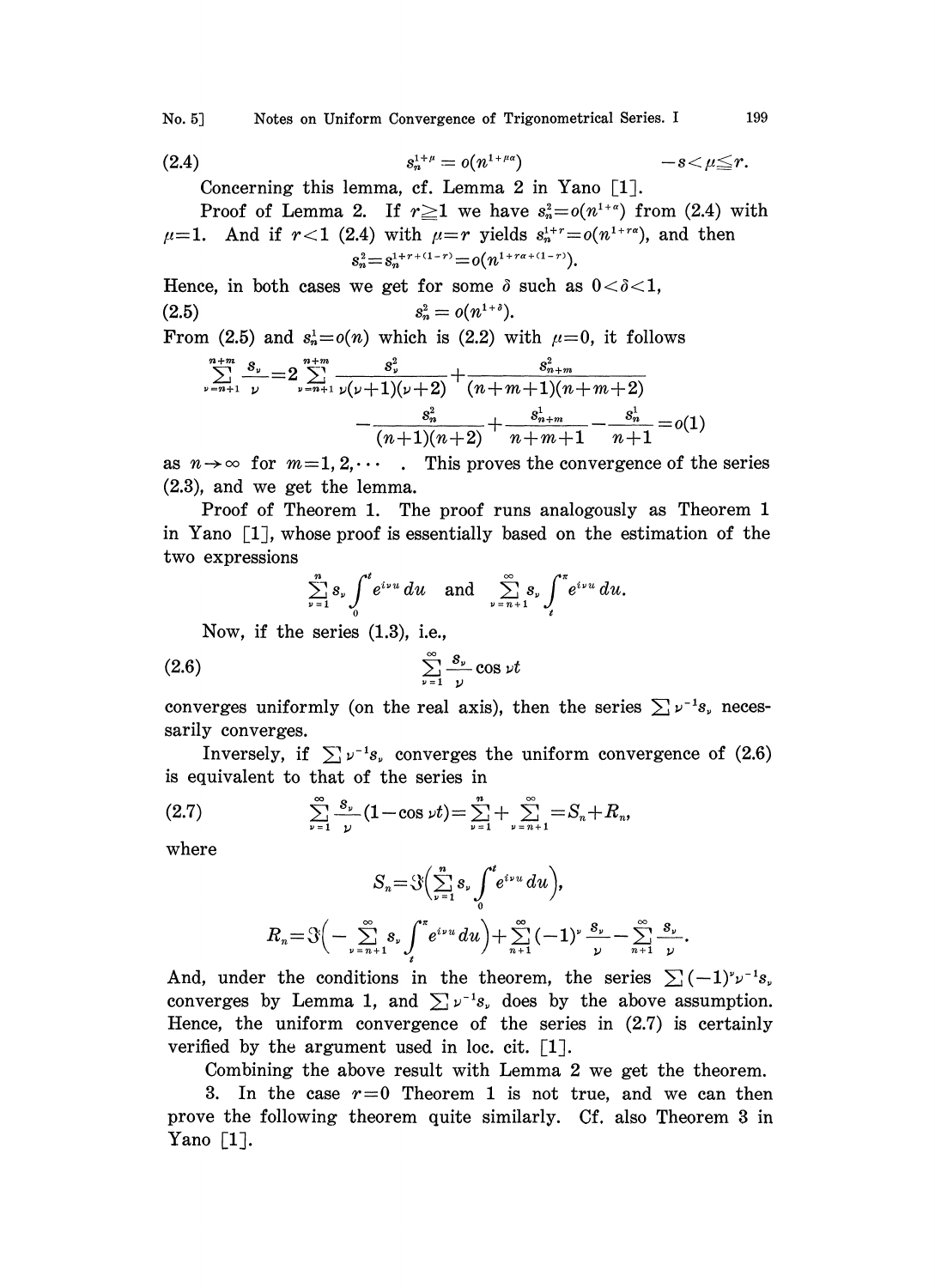No. 5] Notes on Uniform Convergence of Trigonometrical Series. I 199

(2.4) 
$$
s_n^{1+\mu} = o(n^{1+\mu\alpha}) \qquad -s < \mu \leq r.
$$

Concerning this lemma, cf. Lemma 2 in Yano  $\lceil 1 \rceil$ .

Proof of Lemma 2. If  $r \ge 1$  we have  $s_n^2 = o(n^{1+\alpha})$  from (2.4) with  $\mu=1$ . And if  $r<1$  (2.4) with  $\mu=r$  yields  $s_n^{1+r}=o(n^{1+r\alpha})$ , and then  $s_n^2 = s_n^{1+r+(1-r)} = o(n^{1+r\alpha+(1-r)})$ .

Hence, in both cases we get for some  $\delta$  such as  $0 < \delta < 1$ , (2.5)  $s_n^2 = o(n^{1+\delta}).$ 

From (2.5) and 
$$
s_n^1 = o(n)
$$
 which is (2.2) with  $\mu = 0$ , it follows

1 (2.5) and 
$$
s_n^1 = o(n)
$$
 which is (2.2) with  $\mu = 0$ , it follows  
\n
$$
\sum_{\nu=n+1}^{n+m} \frac{s_{\nu}}{\nu} = 2 \sum_{\nu=n+1}^{n+m} \frac{s_{\nu}^2}{\nu(\nu+1)(\nu+2)} + \frac{s_{n+m}^2}{(n+m+1)(n+m+2)}
$$
\n
$$
-\frac{s_n^2}{(n+1)(n+2)} + \frac{s_{n+m}^1}{n+m+1} - \frac{s_n^1}{n+1} = o(1)
$$

as  $n \rightarrow \infty$  for  $m=1, 2, \cdots$ . This proves the convergence of the series (2.3), and we get the lemma.

Proof of Theorem 1. The proof runs analogously as Theorem 1 in Yano  $\lceil 1 \rceil$ , whose proof is essentially based on the estimation of the two expressions

$$
\sum_{\nu=1}^{n} s_{\nu} \int_{0}^{t} e^{i\nu u} du \quad \text{and} \quad \sum_{\nu=n+1}^{\infty} s_{\nu} \int_{t}^{\pi} e^{i\nu u} du.
$$
  
As series (1.3), i.e.,

Now, if the series (1.8), i.e.,

$$
(2.6) \t\t \t\t \sum_{\nu=1}^{\infty} \frac{s_{\nu}}{\nu} \cos \nu t
$$

converges uniformly (on the real axis), then the series  $\sum \nu^{-1} s$ , necessarily converges.

Inversely, if  $\sum \nu^{-1} s$ , converges the uniform convergence of (2.6) is equivalent to that of the series in

(2.7) 
$$
\sum_{\nu=1}^{\infty} \frac{s_{\nu}}{\nu} (1 - \cos \nu t) = \sum_{\nu=1}^{n} + \sum_{\nu=n+1}^{\infty} = S_n + R_n,
$$

where

$$
S_n = \mathcal{S}\Big(\sum_{\nu=1}^n s_{\nu} \int_0^t e^{i\nu u} du \Big),
$$
  

$$
R_n = \mathcal{S}\Big(-\sum_{\nu=n+1}^\infty s_{\nu} \int_t^{\pi} e^{i\nu u} du \Big) + \sum_{n+1}^\infty (-1)^{\nu} \frac{s_{\nu}}{\nu} - \sum_{n+1}^\infty \frac{s_{\nu}}{\nu}.
$$

And, under the conditions in the theorem, the series  $\sum (-1)^{v} \nu^{-1} s_v$ converges by Lemma 1, and  $\sum \nu^{-1} s$ , does by the above assumption. Hence, the uniform convergence of the series in (2.7) is certainly verified by the argument used in loc. cit.  $\lceil 1 \rceil$ .

Combining the above result with Lemma 2 we get the theorem.

3. In the case  $r=0$  Theorem 1 is not true, and we can then prove the following theorem quite similarly. Cf. also Theorem 3 in Yano  $\lceil 1 \rceil$ .